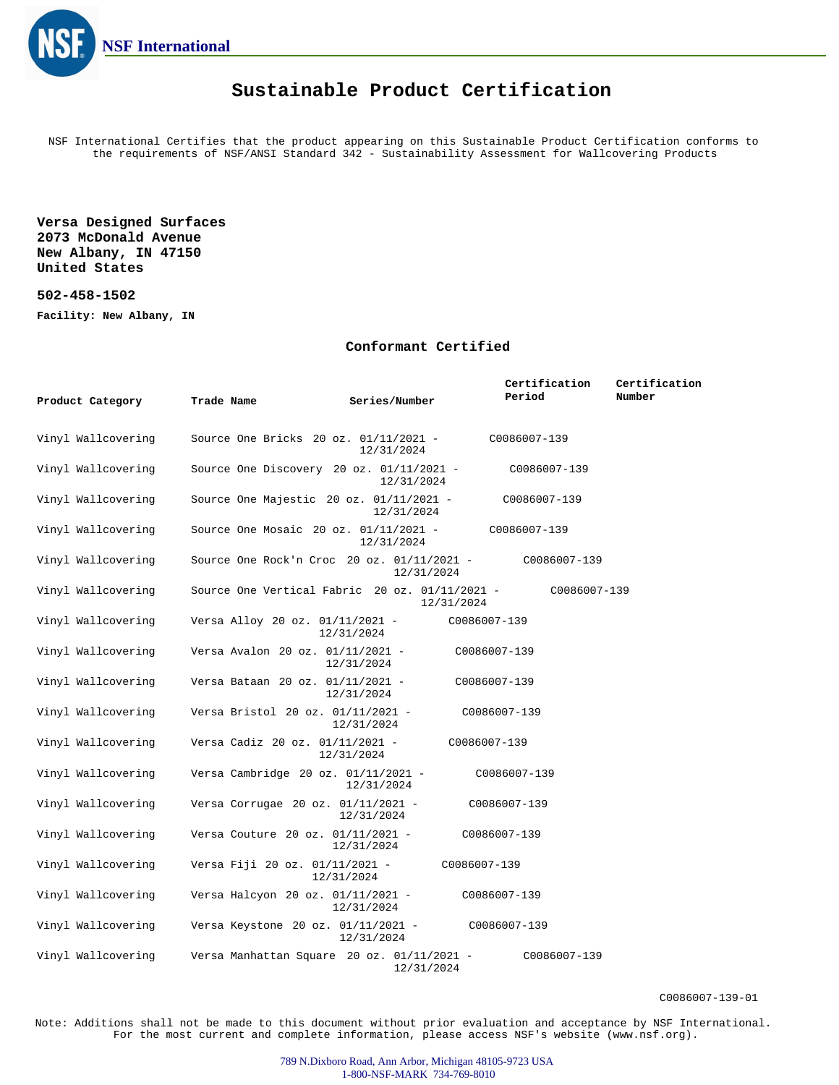

## **Sustainable Product Certification**

NSF International Certifies that the product appearing on this Sustainable Product Certification conforms to the requirements of NSF/ANSI Standard 342 - Sustainability Assessment for Wallcovering Products

**Versa Designed Surfaces 2073 McDonald Avenue New Albany, IN 47150 United States**

## **502-458-1502**

**Facility: New Albany, IN**

## **Conformant Certified**

|                    |                                                  |                            | Certification | Certification |
|--------------------|--------------------------------------------------|----------------------------|---------------|---------------|
| Product Category   | Trade Name                                       | Series/Number              | Period        | Number        |
| Vinyl Wallcovering | Source One Bricks 20 oz. 01/11/2021 -            | 12/31/2024                 | C0086007-139  |               |
| Vinyl Wallcovering | Source One Discovery 20 oz. $01/11/2021$ -       | 12/31/2024                 | C0086007-139  |               |
| Vinyl Wallcovering | Source One Majestic 20 oz. $01/11/2021$ -        | 12/31/2024                 | C0086007-139  |               |
| Vinyl Wallcovering | Source One Mosaic 20 oz. 01/11/2021 -            | 12/31/2024                 | C0086007-139  |               |
| Vinyl Wallcovering | Source One Rock'n Croc 20 oz. $01/11/2021$ -     | 12/31/2024                 | C0086007-139  |               |
| Vinyl Wallcovering | Source One Vertical Fabric 20 oz. $01/11/2021$ - | 12/31/2024                 | C0086007-139  |               |
| Vinyl Wallcovering | Versa Alloy 20 oz. 01/11/2021 -                  | 12/31/2024                 | C0086007-139  |               |
| Vinyl Wallcovering | Versa Avalon 20 oz. 01/11/2021 -                 | 12/31/2024                 | C0086007-139  |               |
| Vinyl Wallcovering | Versa Bataan 20 oz. 01/11/2021 -                 | 12/31/2024                 | C0086007-139  |               |
| Vinyl Wallcovering | Versa Bristol 20 oz. 01/11/2021 -                | 12/31/2024                 | C0086007-139  |               |
| Vinyl Wallcovering | Versa Cadiz 20 oz. 01/11/2021 -                  | C0086007-139<br>12/31/2024 |               |               |
| Vinyl Wallcovering | Versa Cambridge 20 oz. 01/11/2021 -              | 12/31/2024                 | C0086007-139  |               |
| Vinyl Wallcovering | Versa Corrugae 20 oz. $01/11/2021$ -             | 12/31/2024                 | C0086007-139  |               |
| Vinyl Wallcovering | Versa Couture 20 oz. 01/11/2021 -                | 12/31/2024                 | C0086007-139  |               |
| Vinyl Wallcovering | Versa Fiji 20 oz. 01/11/2021 -                   | C0086007-139<br>12/31/2024 |               |               |
| Vinyl Wallcovering | Versa Halcyon 20 oz. 01/11/2021 -                | 12/31/2024                 | C0086007-139  |               |
| Vinyl Wallcovering | Versa Keystone 20 oz. 01/11/2021 -               | 12/31/2024                 | C0086007-139  |               |
| Vinyl Wallcovering | Versa Manhattan Square 20 oz. 01/11/2021 -       | 12/31/2024                 | C0086007-139  |               |

C0086007-139-01

Note: Additions shall not be made to this document without prior evaluation and acceptance by NSF International. For the most current and complete information, please access NSF's website (www.nsf.org).

> 789 N.Dixboro Road, Ann Arbor, Michigan 48105-9723 USA 1-800-NSF-MARK 734-769-8010